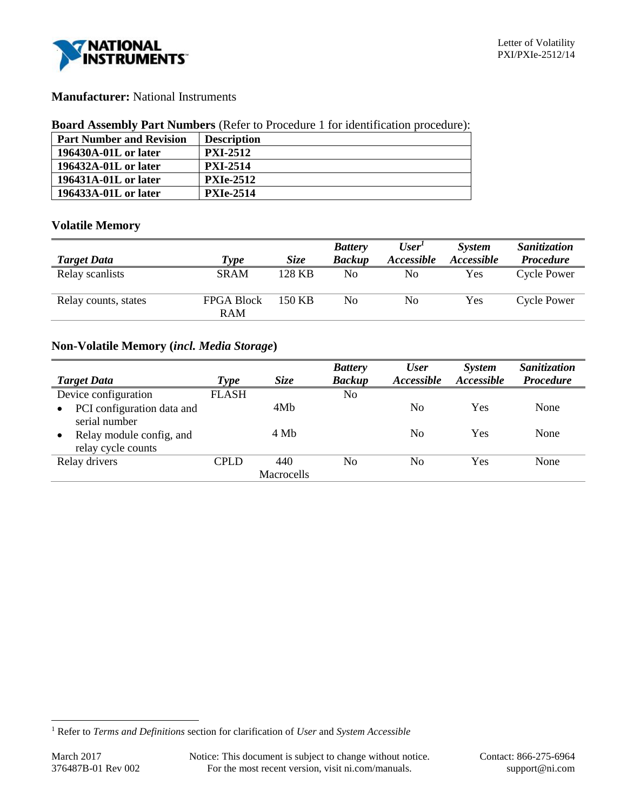

# **Manufacturer:** National Instruments

#### **Board Assembly Part Numbers** (Refer to Procedure 1 for identification procedure):

| <b>Part Number and Revision</b> | <b>Description</b> |
|---------------------------------|--------------------|
| 196430A-01L or later            | <b>PXI-2512</b>    |
| 196432A-01L or later            | <b>PXI-2514</b>    |
| 196431A-01L or later            | <b>PXIe-2512</b>   |
| 196433A-01L or later            | <b>PXIe-2514</b>   |

# **Volatile Memory**

|                      |                                 |        | <b>Battery</b> | User'             | <b>System</b> | <b>Sanitization</b> |
|----------------------|---------------------------------|--------|----------------|-------------------|---------------|---------------------|
| <b>Target Data</b>   | <b>Type</b>                     | Size   | <b>Backup</b>  | <b>Accessible</b> | Accessible    | <b>Procedure</b>    |
| Relay scanlists      | <b>SRAM</b>                     | 128 KB | No             | No                | Yes           | <b>Cycle Power</b>  |
| Relay counts, states | <b>FPGA Block</b><br><b>RAM</b> | 150 KB | No             | No                | Yes           | Cycle Power         |

# **Non-Volatile Memory (***incl. Media Storage***)**

|                                                             |              |            | <b>Battery</b> | <b>User</b>    | <b>System</b> | Sanitization     |
|-------------------------------------------------------------|--------------|------------|----------------|----------------|---------------|------------------|
| <b>Target Data</b>                                          | <b>Type</b>  | Size       | <b>Backup</b>  | Accessible     | Accessible    | <b>Procedure</b> |
| Device configuration                                        | <b>FLASH</b> |            | No             |                |               |                  |
| PCI configuration data and<br>$\bullet$<br>serial number    |              | 4Mb        |                | No             | Yes           | None             |
| Relay module config, and<br>$\bullet$<br>relay cycle counts |              | 4 Mb       |                | No             | Yes           | None             |
| Relay drivers                                               | CPLD         | 440        | No             | N <sub>0</sub> | Yes           | None             |
|                                                             |              | Macrocells |                |                |               |                  |

l

<sup>1</sup> Refer to *Terms and Definitions* section for clarification of *User* and *System Accessible*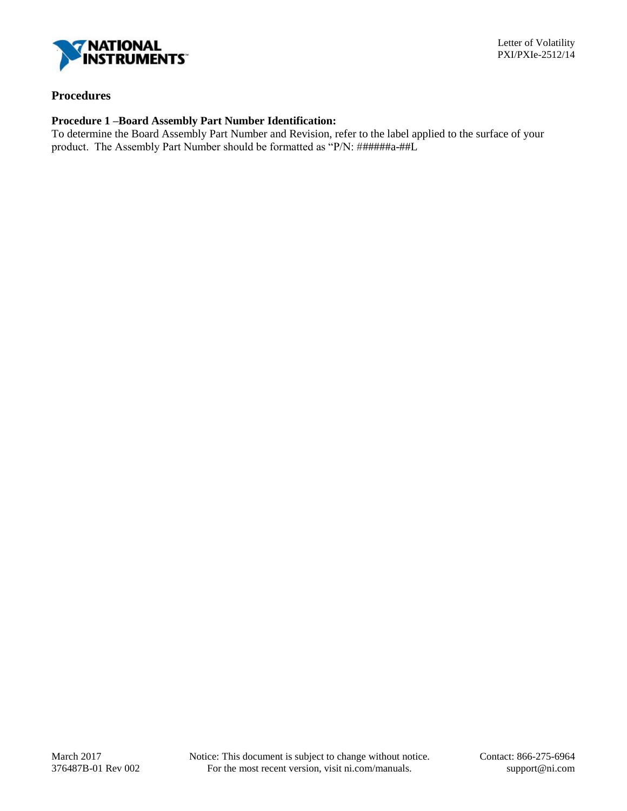

# **Procedures**

# **Procedure 1 –Board Assembly Part Number Identification:**

To determine the Board Assembly Part Number and Revision, refer to the label applied to the surface of your product. The Assembly Part Number should be formatted as "P/N: ######a-##L